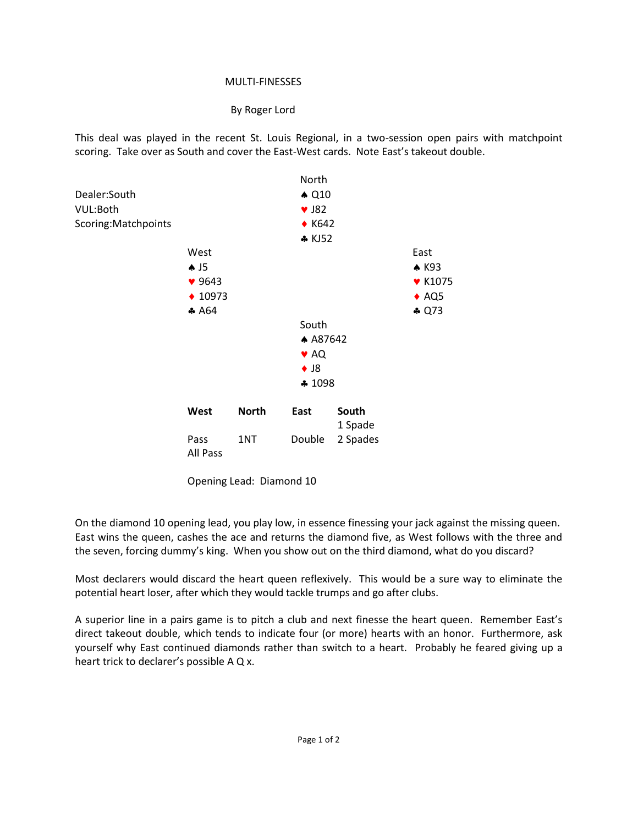## MULTI-FINESSES

## By Roger Lord

This deal was played in the recent St. Louis Regional, in a two-session open pairs with matchpoint scoring. Take over as South and cover the East-West cards. Note East's takeout double.



Opening Lead: Diamond 10

On the diamond 10 opening lead, you play low, in essence finessing your jack against the missing queen. East wins the queen, cashes the ace and returns the diamond five, as West follows with the three and the seven, forcing dummy's king. When you show out on the third diamond, what do you discard?

Most declarers would discard the heart queen reflexively. This would be a sure way to eliminate the potential heart loser, after which they would tackle trumps and go after clubs.

A superior line in a pairs game is to pitch a club and next finesse the heart queen. Remember East's direct takeout double, which tends to indicate four (or more) hearts with an honor. Furthermore, ask yourself why East continued diamonds rather than switch to a heart. Probably he feared giving up a heart trick to declarer's possible A Q x.